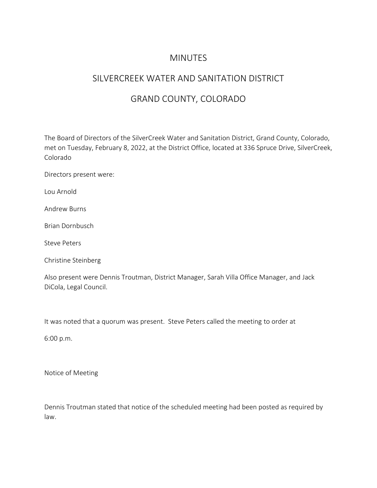### **MINUTES**

# SILVERCREEK WATER AND SANITATION DISTRICT

# GRAND COUNTY, COLORADO

The Board of Directors of the SilverCreek Water and Sanitation District, Grand County, Colorado, met on Tuesday, February 8, 2022, at the District Office, located at 336 Spruce Drive, SilverCreek, Colorado

Directors present were:

Lou Arnold

Andrew Burns

Brian Dornbusch

Steve Peters

Christine Steinberg

Also present were Dennis Troutman, District Manager, Sarah Villa Office Manager, and Jack DiCola, Legal Council.

It was noted that a quorum was present. Steve Peters called the meeting to order at

6:00 p.m.

Notice of Meeting

Dennis Troutman stated that notice of the scheduled meeting had been posted as required by law.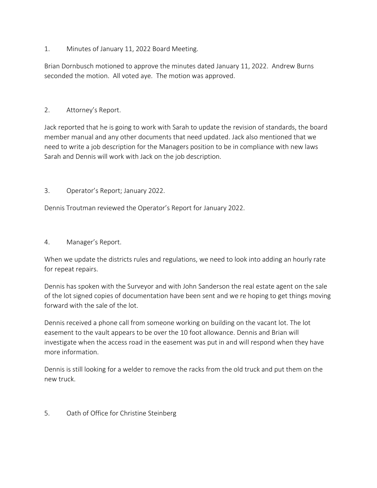1. Minutes of January 11, 2022 Board Meeting.

Brian Dornbusch motioned to approve the minutes dated January 11, 2022. Andrew Burns seconded the motion. All voted aye. The motion was approved.

#### 2. Attorney's Report.

Jack reported that he is going to work with Sarah to update the revision of standards, the board member manual and any other documents that need updated. Jack also mentioned that we need to write a job description for the Managers position to be in compliance with new laws Sarah and Dennis will work with Jack on the job description.

#### 3. Operator's Report; January 2022.

Dennis Troutman reviewed the Operator's Report for January 2022.

#### 4. Manager's Report.

When we update the districts rules and regulations, we need to look into adding an hourly rate for repeat repairs.

Dennis has spoken with the Surveyor and with John Sanderson the real estate agent on the sale of the lot signed copies of documentation have been sent and we re hoping to get things moving forward with the sale of the lot.

Dennis received a phone call from someone working on building on the vacant lot. The lot easement to the vault appears to be over the 10 foot allowance. Dennis and Brian will investigate when the access road in the easement was put in and will respond when they have more information.

Dennis is still looking for a welder to remove the racks from the old truck and put them on the new truck.

### 5. Oath of Office for Christine Steinberg